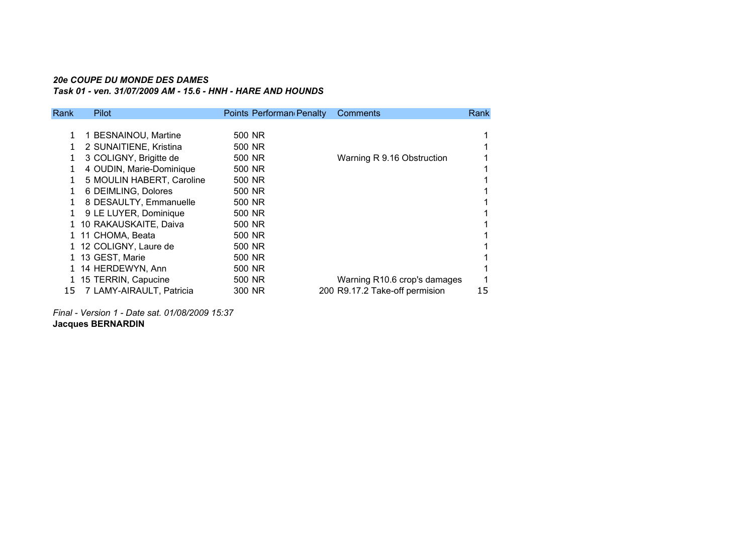# *20e COUPE DU MONDE DES DAMES*

*Task 01 - ven. 31/07/2009 AM - 15.6 - HNH - HARE AND HOUNDS*

| Rank | Pilot                     | Points Performan Penalty | Comments                       | Rank |
|------|---------------------------|--------------------------|--------------------------------|------|
|      |                           |                          |                                |      |
| 1    | 1 BESNAINOU, Martine      | 500 NR                   |                                |      |
| 1.   | 2 SUNAITIENE, Kristina    | 500 NR                   |                                |      |
|      | 3 COLIGNY, Brigitte de    | 500 NR                   | Warning R 9.16 Obstruction     |      |
| 1.   | 4 OUDIN, Marie-Dominique  | 500 NR                   |                                |      |
| 1    | 5 MOULIN HABERT, Caroline | 500 NR                   |                                |      |
| 1    | 6 DEIMLING, Dolores       | 500 NR                   |                                |      |
|      | 8 DESAULTY, Emmanuelle    | 500 NR                   |                                |      |
| 1.   | 9 LE LUYER, Dominique     | 500 NR                   |                                |      |
|      | 1 10 RAKAUSKAITE, Daiva   | 500 NR                   |                                |      |
|      | 1 11 CHOMA, Beata         | 500 NR                   |                                |      |
|      | 1 12 COLIGNY, Laure de    | 500 NR                   |                                |      |
|      | 1 13 GEST, Marie          | 500 NR                   |                                |      |
|      | 1 14 HERDEWYN, Ann        | 500 NR                   |                                |      |
|      | 1 15 TERRIN, Capucine     | 500 NR                   | Warning R10.6 crop's damages   |      |
| 15   | 7 LAMY-AIRAULT, Patricia  | 300 NR                   | 200 R9.17.2 Take-off permision | 15   |
|      |                           |                          |                                |      |

*Final - Version 1 - Date sat. 01/08/2009 15:37***Jacques BERNARDIN**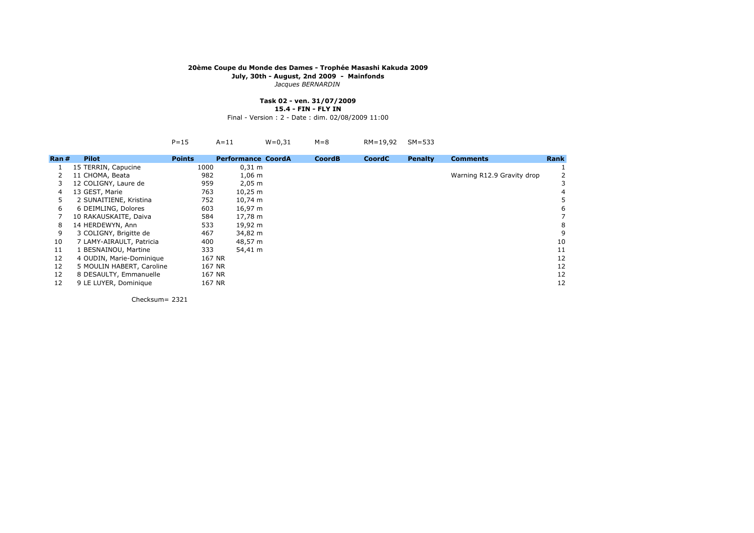*Jacques BERNARDIN*

# **Task 02 - ven. 31/07/2009**

**15.4 - FIN - FLY IN**

Final - Version : 2 - Date : dim. 02/08/2009 11:00

|      |                           | $P = 15$      | $A=11$                    | $W = 0.31$ | $M = 8$       | RM=19,92      | $SM=533$       |                            |             |
|------|---------------------------|---------------|---------------------------|------------|---------------|---------------|----------------|----------------------------|-------------|
| Ran# | <b>Pilot</b>              | <b>Points</b> | <b>Performance CoordA</b> |            | <b>CoordB</b> | <b>CoordC</b> | <b>Penalty</b> | <b>Comments</b>            | <b>Rank</b> |
|      | 15 TERRIN, Capucine       | 1000          | $0,31 \; m$               |            |               |               |                |                            |             |
|      | 11 CHOMA, Beata           | 982           | $1,06 \; m$               |            |               |               |                | Warning R12.9 Gravity drop |             |
| 3.   | 12 COLIGNY, Laure de      | 959           | $2,05 \; m$               |            |               |               |                |                            |             |
| 4    | 13 GEST, Marie            | 763           | $10,25 \; m$              |            |               |               |                |                            |             |
| 5.   | 2 SUNAITIENE, Kristina    | 752           | 10,74 m                   |            |               |               |                |                            |             |
| 6    | 6 DEIMLING, Dolores       | 603           | 16,97 m                   |            |               |               |                |                            |             |
|      | 10 RAKAUSKAITE, Daiva     | 584           | 17,78 m                   |            |               |               |                |                            |             |
| 8    | 14 HERDEWYN, Ann          | 533           | 19,92 m                   |            |               |               |                |                            |             |
| 9    | 3 COLIGNY, Brigitte de    | 467           | 34,82 m                   |            |               |               |                |                            | 9           |
| 10   | 7 LAMY-AIRAULT, Patricia  | 400           | 48,57 m                   |            |               |               |                |                            | 10          |
| 11   | 1 BESNAINOU, Martine      | 333           | 54,41 m                   |            |               |               |                |                            | 11          |
| 12   | 4 OUDIN, Marie-Dominique  | 167 NR        |                           |            |               |               |                |                            | 12          |
| 12   | 5 MOULIN HABERT, Caroline | 167 NR        |                           |            |               |               |                |                            | 12          |
| 12   | 8 DESAULTY, Emmanuelle    | 167 NR        |                           |            |               |               |                |                            | 12          |
| 12   | 9 LE LUYER, Dominique     | 167 NR        |                           |            |               |               |                |                            | 12          |
|      |                           |               |                           |            |               |               |                |                            |             |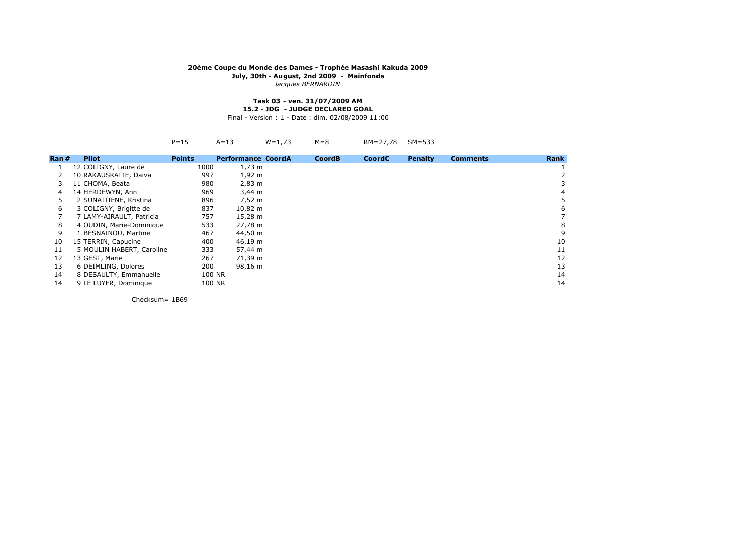*Jacques BERNARDIN*

#### **Task 03 - ven. 31/07/2009 AM15.2 - JDG - JUDGE DECLARED GOAL**

Final - Version : 1 - Date : dim. 02/08/2009 11:00

|                          | $P = 15$           | $A=13$                    | $W = 1,73$                                                  | $M = 8$                                                                                                                                                                                             | RM=27,78      | $SM=533$       |                 |             |
|--------------------------|--------------------|---------------------------|-------------------------------------------------------------|-----------------------------------------------------------------------------------------------------------------------------------------------------------------------------------------------------|---------------|----------------|-----------------|-------------|
| <b>Pilot</b>             | <b>Points</b>      |                           |                                                             | <b>CoordB</b>                                                                                                                                                                                       | <b>CoordC</b> | <b>Penalty</b> | <b>Comments</b> | <b>Rank</b> |
| 12 COLIGNY, Laure de     |                    |                           |                                                             |                                                                                                                                                                                                     |               |                |                 |             |
| 10 RAKAUSKAITE, Daiva    | 997                |                           |                                                             |                                                                                                                                                                                                     |               |                |                 |             |
| 11 CHOMA, Beata          | 980                |                           |                                                             |                                                                                                                                                                                                     |               |                |                 |             |
| 14 HERDEWYN, Ann         | 969                |                           |                                                             |                                                                                                                                                                                                     |               |                |                 |             |
| 2 SUNAITIENE, Kristina   |                    |                           |                                                             |                                                                                                                                                                                                     |               |                |                 |             |
| 3 COLIGNY, Brigitte de   | 837                |                           |                                                             |                                                                                                                                                                                                     |               |                |                 |             |
| 7 LAMY-AIRAULT, Patricia | 757                |                           |                                                             |                                                                                                                                                                                                     |               |                |                 |             |
| 4 OUDIN, Marie-Dominique |                    |                           |                                                             |                                                                                                                                                                                                     |               |                |                 |             |
| 1 BESNAINOU, Martine     | 467                |                           |                                                             |                                                                                                                                                                                                     |               |                |                 | g           |
| 15 TERRIN, Capucine      |                    |                           |                                                             |                                                                                                                                                                                                     |               |                |                 | 10          |
|                          |                    |                           |                                                             |                                                                                                                                                                                                     |               |                |                 | 11          |
| 13 GEST, Marie           | 267                |                           |                                                             |                                                                                                                                                                                                     |               |                |                 | 12          |
| 6 DEIMLING, Dolores      |                    |                           |                                                             |                                                                                                                                                                                                     |               |                |                 | 13          |
| 8 DESAULTY, Emmanuelle   |                    |                           |                                                             |                                                                                                                                                                                                     |               |                |                 | 14          |
| 9 LE LUYER, Dominique    |                    |                           |                                                             |                                                                                                                                                                                                     |               |                |                 | 14          |
|                          | $\mathsf{Ran}\,\#$ | 5 MOULIN HABERT, Caroline | 1000<br>896<br>533<br>400<br>333<br>200<br>100 NR<br>100 NR | <b>Performance CoordA</b><br>$1,73 \; m$<br>$1,92 \text{ m}$<br>$2,83 \, \text{m}$<br>$3,44 \, m$<br>7,52 m<br>10,82 m<br>15,28 m<br>27,78 m<br>44,50 m<br>46,19 m<br>57,44 m<br>71,39 m<br>98,16 m |               |                |                 |             |

Checksum= 1B69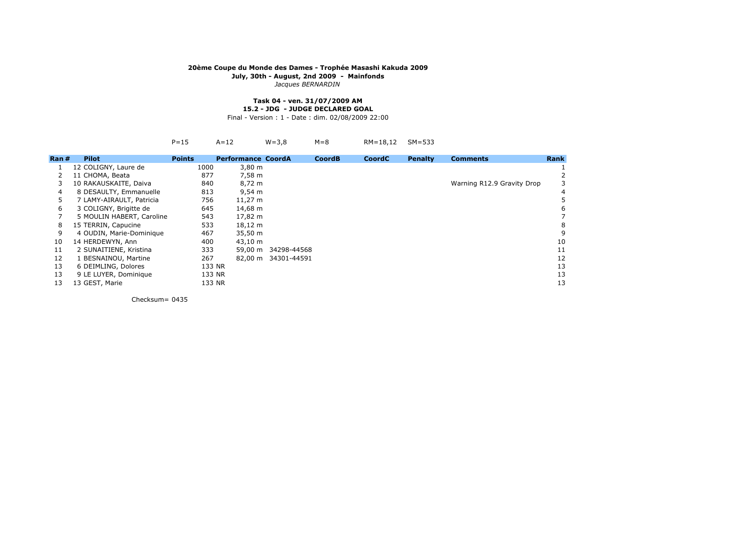*Jacques BERNARDIN*

#### **Task 04 - ven. 31/07/2009 AM15.2 - JDG - JUDGE DECLARED GOAL**

Final - Version : 1 - Date : dim. 02/08/2009 22:00

A=12 W=3,8 M=8 RM=18,12 SM=533

| $\mathsf{Ran}\;#$ | <b>Pilot</b>              | <b>Points</b> | <b>Performance CoordA</b> |                     | <b>CoordB</b> | <b>CoordC</b> | <b>Penalty</b> | <b>Comments</b>            | Rank |
|-------------------|---------------------------|---------------|---------------------------|---------------------|---------------|---------------|----------------|----------------------------|------|
|                   | 12 COLIGNY, Laure de      | 1000          | $3,80 \; \text{m}$        |                     |               |               |                |                            |      |
|                   | 11 CHOMA, Beata           | 877           | 7,58 m                    |                     |               |               |                |                            |      |
|                   | 10 RAKAUSKAITE, Daiva     | 840           | 8,72 m                    |                     |               |               |                | Warning R12.9 Gravity Drop |      |
| 4                 | 8 DESAULTY, Emmanuelle    | 813           | $9,54 \, \text{m}$        |                     |               |               |                |                            |      |
| 5                 | 7 LAMY-AIRAULT, Patricia  | 756           | $11,27 \; m$              |                     |               |               |                |                            |      |
| 6                 | 3 COLIGNY, Brigitte de    | 645           | 14,68 m                   |                     |               |               |                |                            |      |
|                   | 5 MOULIN HABERT, Caroline | 543           | 17,82 m                   |                     |               |               |                |                            |      |
| 8                 | 15 TERRIN, Capucine       | 533           | 18,12 m                   |                     |               |               |                |                            |      |
| 9                 | 4 OUDIN, Marie-Dominique  | 467           | 35,50 m                   |                     |               |               |                |                            | g    |
| 10                | 14 HERDEWYN, Ann          | 400           | 43,10 m                   |                     |               |               |                |                            | 10   |
| 11                | 2 SUNAITIENE, Kristina    | 333           | 59,00 m                   | 34298-44568         |               |               |                |                            | 11   |
| 12                | 1 BESNAINOU, Martine      | 267           |                           | 82,00 m 34301-44591 |               |               |                |                            | 12   |
| 13                | 6 DEIMLING, Dolores       | 133 NR        |                           |                     |               |               |                |                            | 13   |
| 13                | 9 LE LUYER, Dominique     | 133 NR        |                           |                     |               |               |                |                            | 13   |
| 13                | 13 GEST, Marie            | 133 NR        |                           |                     |               |               |                |                            | 13   |

Checksum= <sup>0435</sup>

 $P=15$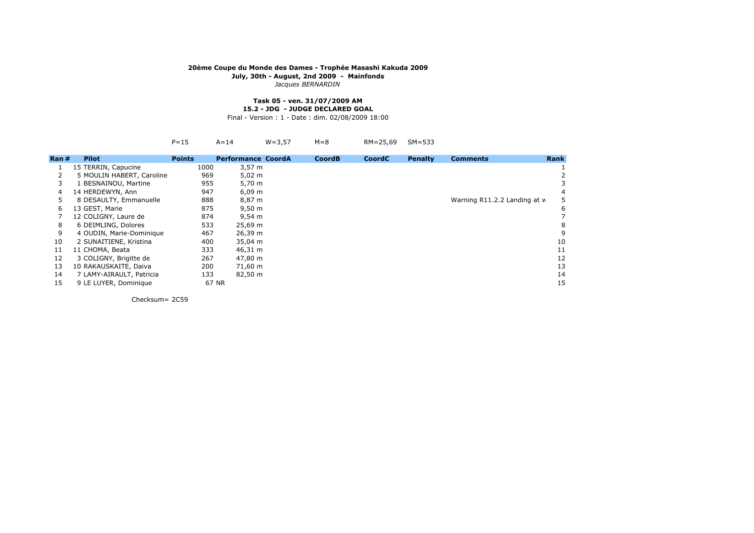*Jacques BERNARDIN*

#### **Task 05 - ven. 31/07/2009 AM15.2 - JDG - JUDGE DECLARED GOAL**

Final - Version : 1 - Date : dim. 02/08/2009 18:00

|      |                           | $P = 15$      | $A = 14$                  | $W = 3.57$ | $M = 8$       | RM=25,69      | $SM=533$       |                              |             |
|------|---------------------------|---------------|---------------------------|------------|---------------|---------------|----------------|------------------------------|-------------|
| Ran# | <b>Pilot</b>              | <b>Points</b> | <b>Performance CoordA</b> |            | <b>CoordB</b> | <b>CoordC</b> | <b>Penalty</b> | <b>Comments</b>              | <b>Rank</b> |
|      | 15 TERRIN, Capucine       | 1000          | $3,57 \; m$               |            |               |               |                |                              |             |
|      | 5 MOULIN HABERT, Caroline | 969           | $5,02 \; m$               |            |               |               |                |                              |             |
| 3    | 1 BESNAINOU, Martine      | 955           | 5,70 m                    |            |               |               |                |                              |             |
| 4    | 14 HERDEWYN, Ann          | 947           | $6,09 \; m$               |            |               |               |                |                              |             |
| 5    | 8 DESAULTY, Emmanuelle    | 888           | 8,87 m                    |            |               |               |                | Warning R11.2.2 Landing at w |             |
| 6    | 13 GEST, Marie            | 875           | $9,50 \; m$               |            |               |               |                |                              |             |
|      | 12 COLIGNY, Laure de      | 874           | $9,54 \, m$               |            |               |               |                |                              |             |
| 8    | 6 DEIMLING, Dolores       | 533           | 25,69 m                   |            |               |               |                |                              |             |
| 9    | 4 OUDIN, Marie-Dominique  | 467           | 26,39 m                   |            |               |               |                |                              |             |
| 10   | 2 SUNAITIENE, Kristina    | 400           | 35,04 m                   |            |               |               |                |                              | 10          |
| 11   | 11 CHOMA, Beata           | 333           | 46,31 m                   |            |               |               |                |                              | 11          |
| 12   | 3 COLIGNY, Brigitte de    | 267           | 47,80 m                   |            |               |               |                |                              | 12          |
| 13   | 10 RAKAUSKAITE, Daiva     | 200           | 71,60 m                   |            |               |               |                |                              | 13          |
| 14   | 7 LAMY-AIRAULT, Patricia  | 133           | 82,50 m                   |            |               |               |                |                              | 14          |
| 15   | 9 LE LUYER, Dominique     |               | 67 NR                     |            |               |               |                |                              | 15          |
|      |                           |               |                           |            |               |               |                |                              |             |

Checksum= 2C59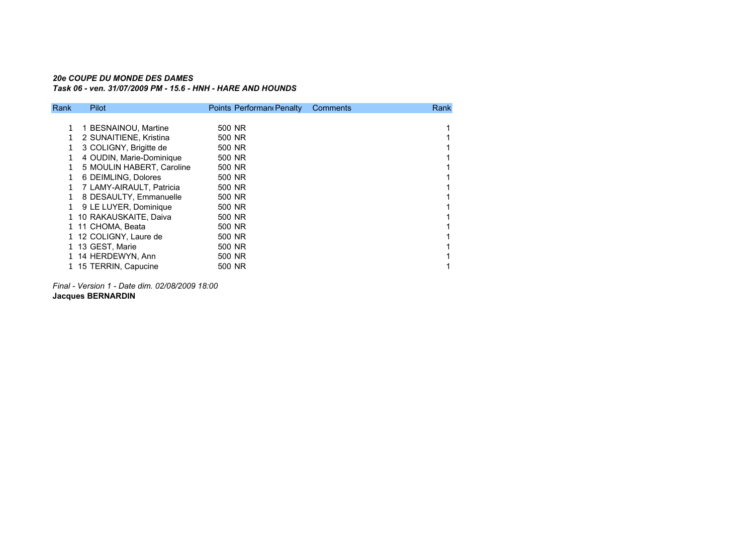### *20e COUPE DU MONDE DES DAMESTask 06 - ven. 31/07/2009 PM - 15.6 - HNH - HARE AND HOUNDS*

| Rank. | Pilot                     | Points Performan Penalty | Comments | Rank |
|-------|---------------------------|--------------------------|----------|------|
|       |                           |                          |          |      |
|       | 1 BESNAINOU, Martine      | 500 NR                   |          |      |
|       | 2 SUNAITIENE, Kristina    | 500 NR                   |          |      |
|       | 3 COLIGNY, Brigitte de    | 500 NR                   |          |      |
|       | 4 OUDIN, Marie-Dominique  | 500 NR                   |          |      |
|       | 5 MOULIN HABERT, Caroline | 500 NR                   |          |      |
|       | 6 DEIMLING, Dolores       | 500 NR                   |          |      |
|       | 7 LAMY-AIRAULT, Patricia  | 500 NR                   |          |      |
|       | 8 DESAULTY, Emmanuelle    | 500 NR                   |          |      |
|       | 9 LE LUYER, Dominique     | 500 NR                   |          |      |
|       | 1 10 RAKAUSKAITE, Daiva   | 500 NR                   |          |      |
|       | 1 11 CHOMA, Beata         | 500 NR                   |          |      |
|       | 1 12 COLIGNY, Laure de    | 500 NR                   |          |      |
|       | 1 13 GEST, Marie          | 500 NR                   |          |      |
|       | 1 14 HERDEWYN, Ann        | 500 NR                   |          |      |
|       | 1 15 TERRIN, Capucine     | 500 NR                   |          |      |
|       |                           |                          |          |      |

*Final - Version 1 - Date dim. 02/08/2009 18:00***Jacques BERNARDIN**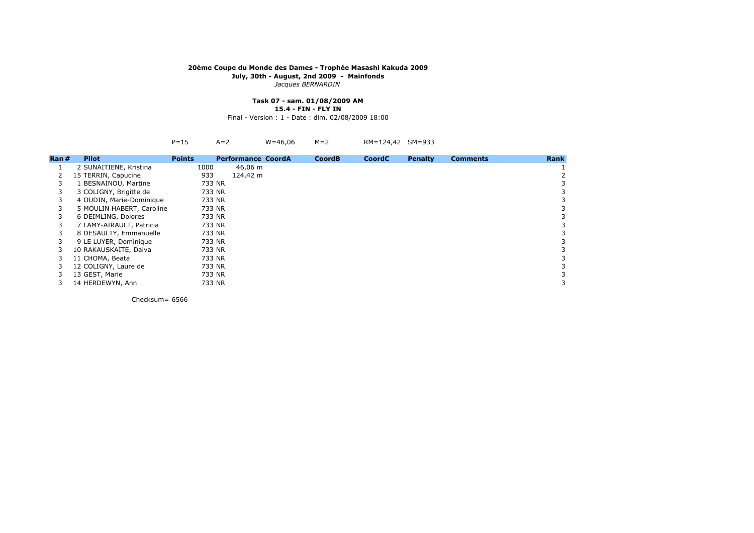*Jacques BERNARDIN*

# **Task 07 - sam. 01/08/2009 AM**

**15.4 - FIN - FLY IN**

Final - Version : 1 - Date : dim. 02/08/2009 18:00

| RM=124,42 SM=933<br>$W = 46,06$ M=2<br>$P=15$ $A=2$ |  |
|-----------------------------------------------------|--|
|-----------------------------------------------------|--|

| Ran# | <b>Pilot</b>              | <b>Points</b> | <b>Performance CoordA</b> | <b>CoordB</b> | <b>CoordC</b> | <b>Penalty</b> | <b>Comments</b> | <b>Rank</b> |
|------|---------------------------|---------------|---------------------------|---------------|---------------|----------------|-----------------|-------------|
|      | 2 SUNAITIENE, Kristina    | 1000          | 46,06 m                   |               |               |                |                 |             |
|      | 15 TERRIN, Capucine       | 933           | 124,42 m                  |               |               |                |                 |             |
|      | 1 BESNAINOU, Martine      | 733 NR        |                           |               |               |                |                 |             |
|      | 3 COLIGNY, Brigitte de    | 733 NR        |                           |               |               |                |                 |             |
|      | 4 OUDIN, Marie-Dominique  | 733 NR        |                           |               |               |                |                 |             |
| 3    | 5 MOULIN HABERT, Caroline | 733 NR        |                           |               |               |                |                 |             |
|      | 6 DEIMLING, Dolores       | 733 NR        |                           |               |               |                |                 |             |
|      | 7 LAMY-AIRAULT, Patricia  | 733 NR        |                           |               |               |                |                 |             |
|      | 8 DESAULTY, Emmanuelle    | 733 NR        |                           |               |               |                |                 |             |
|      | 9 LE LUYER, Dominique     | 733 NR        |                           |               |               |                |                 | 3           |
|      | 10 RAKAUSKAITE, Daiva     | 733 NR        |                           |               |               |                |                 |             |
|      | 11 CHOMA, Beata           | 733 NR        |                           |               |               |                |                 |             |
|      | 12 COLIGNY, Laure de      | 733 NR        |                           |               |               |                |                 |             |
|      | 13 GEST, Marie            | 733 NR        |                           |               |               |                |                 |             |
|      | 14 HERDEWYN, Ann          | 733 NR        |                           |               |               |                |                 | 3           |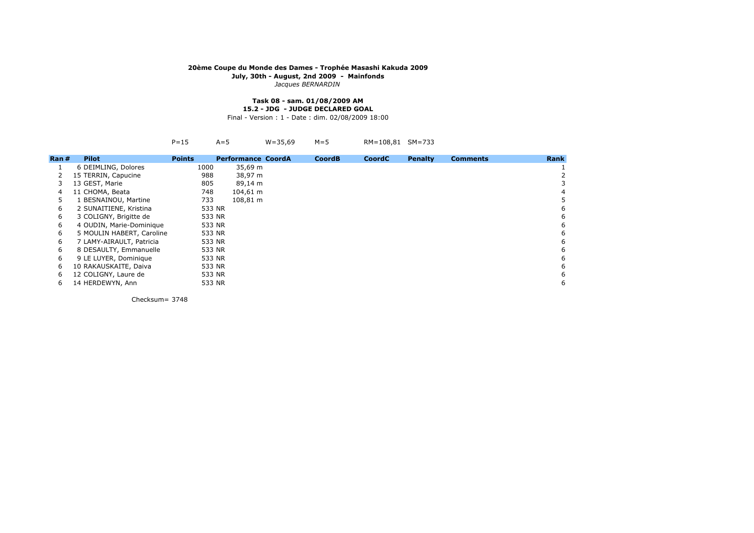*Jacques BERNARDIN*

#### **Task 08 - sam. 01/08/2009 AM15.2 - JDG - JUDGE DECLARED GOAL**

Final - Version : 1 - Date : dim. 02/08/2009 18:00

A=5 W=35,69 M=5 RM=108,81 SM=733

| Ran# | <b>Pilot</b>              | <b>Points</b> | <b>Performance CoordA</b> | <b>CoordB</b> | <b>CoordC</b> | <b>Penalty</b> | <b>Comments</b> | <b>Rank</b> |
|------|---------------------------|---------------|---------------------------|---------------|---------------|----------------|-----------------|-------------|
| 1    | 6 DEIMLING, Dolores       | 1000          | 35,69 m                   |               |               |                |                 |             |
| 2    | 15 TERRIN, Capucine       | 988           | 38,97 m                   |               |               |                |                 |             |
| 3.   | 13 GEST, Marie            | 805           | 89,14 m                   |               |               |                |                 | 3           |
| 4    | 11 CHOMA, Beata           | 748           | 104,61 m                  |               |               |                |                 | 4           |
| 5.   | L BESNAINOU, Martine      | 733           | 108,81 m                  |               |               |                |                 | 5           |
| 6    | 2 SUNAITIENE, Kristina    | 533 NR        |                           |               |               |                |                 | 6           |
| 6    | 3 COLIGNY, Brigitte de    | 533 NR        |                           |               |               |                |                 | 6           |
| 6    | 4 OUDIN, Marie-Dominique  | 533 NR        |                           |               |               |                |                 | 6           |
| 6    | 5 MOULIN HABERT, Caroline | 533 NR        |                           |               |               |                |                 | 6           |
| 6    | 7 LAMY-AIRAULT, Patricia  | 533 NR        |                           |               |               |                |                 | 6           |
| 6    | 8 DESAULTY, Emmanuelle    | 533 NR        |                           |               |               |                |                 | 6           |
| 6    | 9 LE LUYER, Dominique     | 533 NR        |                           |               |               |                |                 | 6           |
| 6    | 10 RAKAUSKAITE, Daiva     | 533 NR        |                           |               |               |                |                 | 6           |
| 6    | 12 COLIGNY, Laure de      | 533 NR        |                           |               |               |                |                 | 6           |
| 6    | 14 HERDEWYN, Ann          | 533 NR        |                           |               |               |                |                 | 6           |
|      |                           |               |                           |               |               |                |                 |             |

Checksum= <sup>3748</sup>

 $P=15$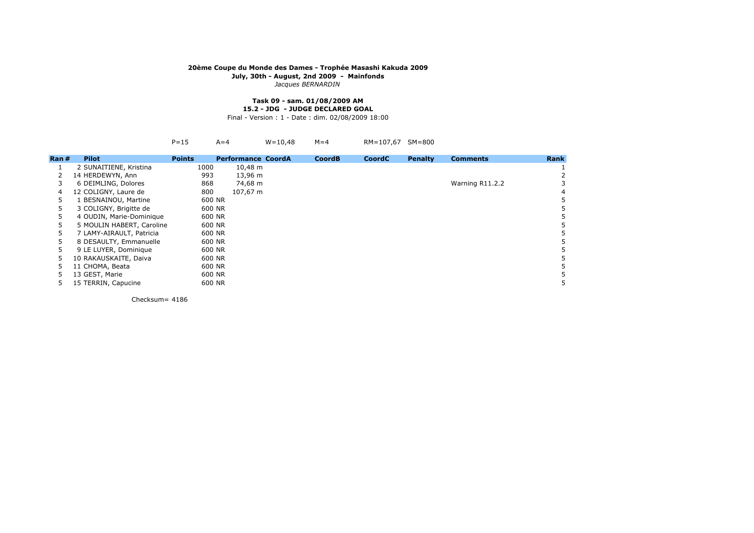*Jacques BERNARDIN*

#### **Task 09 - sam. 01/08/2009 AM15.2 - JDG - JUDGE DECLARED GOAL**

Final - Version : 1 - Date : dim. 02/08/2009 18:00

| RM=107,67 SM=800<br>$W = 10,48$ $M = 4$<br>$P=15$ $A=4$ |  |
|---------------------------------------------------------|--|
|---------------------------------------------------------|--|

| Ran# | <b>Pilot</b>              | <b>Points</b> | <b>Performance CoordA</b> | <b>CoordB</b> | <b>CoordC</b> | <b>Penalty</b> | <b>Comments</b> | Rank |
|------|---------------------------|---------------|---------------------------|---------------|---------------|----------------|-----------------|------|
|      | 2 SUNAITIENE, Kristina    | 1000          | $10,48 \; \text{m}$       |               |               |                |                 |      |
|      | 14 HERDEWYN, Ann          | 993           | 13,96 m                   |               |               |                |                 |      |
|      | 6 DEIMLING, Dolores       | 868           | 74,68 m                   |               |               |                | Warning R11.2.2 |      |
| 4    | 12 COLIGNY, Laure de      | 800           | 107,67 m                  |               |               |                |                 | 4    |
| 5    | 1 BESNAINOU, Martine      | 600 NR        |                           |               |               |                |                 |      |
| 5    | 3 COLIGNY, Brigitte de    | 600 NR        |                           |               |               |                |                 |      |
| 5    | 4 OUDIN, Marie-Dominique  | 600 NR        |                           |               |               |                |                 |      |
| 5    | 5 MOULIN HABERT, Caroline | 600 NR        |                           |               |               |                |                 |      |
| 5    | 7 LAMY-AIRAULT, Patricia  | 600 NR        |                           |               |               |                |                 |      |
| 5    | 8 DESAULTY, Emmanuelle    | 600 NR        |                           |               |               |                |                 |      |
| 5.   | 9 LE LUYER, Dominique     | 600 NR        |                           |               |               |                |                 |      |
| 5    | 10 RAKAUSKAITE, Daiva     | 600 NR        |                           |               |               |                |                 |      |
| 5    | 11 CHOMA, Beata           | 600 NR        |                           |               |               |                |                 |      |
| 5    | 13 GEST, Marie            | 600 NR        |                           |               |               |                |                 |      |
| 5    | 15 TERRIN, Capucine       | 600 NR        |                           |               |               |                |                 | 5    |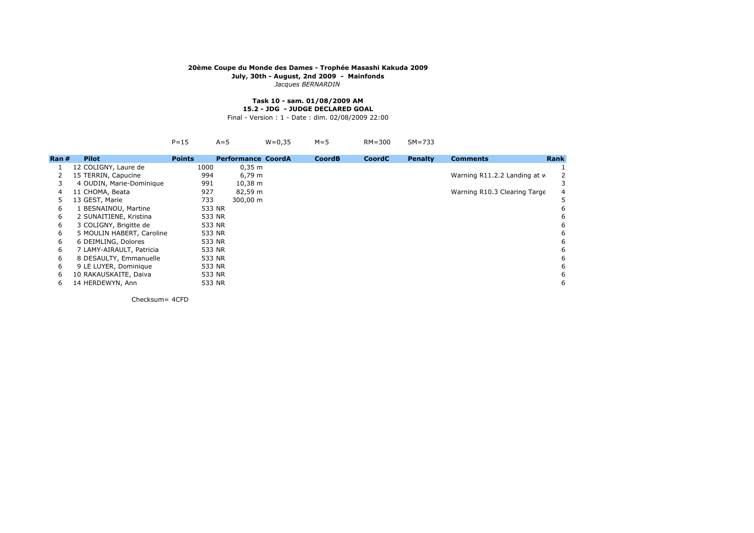*Jacques BERNARDIN*

#### **Task 10 - sam. 01/08/2009 AM15.2 - JDG - JUDGE DECLARED GOAL**

Final - Version : 1 - Date : dim. 02/08/2009 22:00

|       |                           | $P = 15$      | $A=5$                     | $W = 0.35$ | $M = 5$       | $RM = 300$    | $SM=733$       |                              |             |
|-------|---------------------------|---------------|---------------------------|------------|---------------|---------------|----------------|------------------------------|-------------|
| Ran # | <b>Pilot</b>              | <b>Points</b> | <b>Performance CoordA</b> |            | <b>CoordB</b> | <b>CoordC</b> | <b>Penalty</b> | <b>Comments</b>              | <b>Rank</b> |
|       | 12 COLIGNY, Laure de      | 1000          | $0,35 \; \text{m}$        |            |               |               |                |                              |             |
|       | 15 TERRIN, Capucine       | 994           | 6,79 m                    |            |               |               |                | Warning R11.2.2 Landing at w |             |
| 3     | 4 OUDIN, Marie-Dominique  | 991           | $10,38 \; \text{m}$       |            |               |               |                |                              |             |
| 4     | 11 CHOMA, Beata           | 927           | 82,59 m                   |            |               |               |                | Warning R10.3 Clearing Targe |             |
| 5.    | 13 GEST, Marie            | 733           | 300,00 m                  |            |               |               |                |                              |             |
| 6     | 1 BESNAINOU, Martine      | 533 NR        |                           |            |               |               |                |                              |             |
| 6     | 2 SUNAITIENE, Kristina    | 533 NR        |                           |            |               |               |                |                              |             |
| 6     | 3 COLIGNY, Brigitte de    | 533 NR        |                           |            |               |               |                |                              |             |
| 6     | 5 MOULIN HABERT, Caroline | 533 NR        |                           |            |               |               |                |                              |             |
| 6     | 6 DEIMLING, Dolores       | 533 NR        |                           |            |               |               |                |                              |             |
| 6     | 7 LAMY-AIRAULT, Patricia  | 533 NR        |                           |            |               |               |                |                              |             |
| 6     | 8 DESAULTY, Emmanuelle    | 533 NR        |                           |            |               |               |                |                              |             |
| 6     | 9 LE LUYER, Dominique     | 533 NR        |                           |            |               |               |                |                              |             |
| 6     | 10 RAKAUSKAITE, Daiva     | 533 NR        |                           |            |               |               |                |                              |             |
| 6     | 14 HERDEWYN, Ann          | 533 NR        |                           |            |               |               |                |                              |             |
|       |                           |               |                           |            |               |               |                |                              |             |

Checksum= 4CFD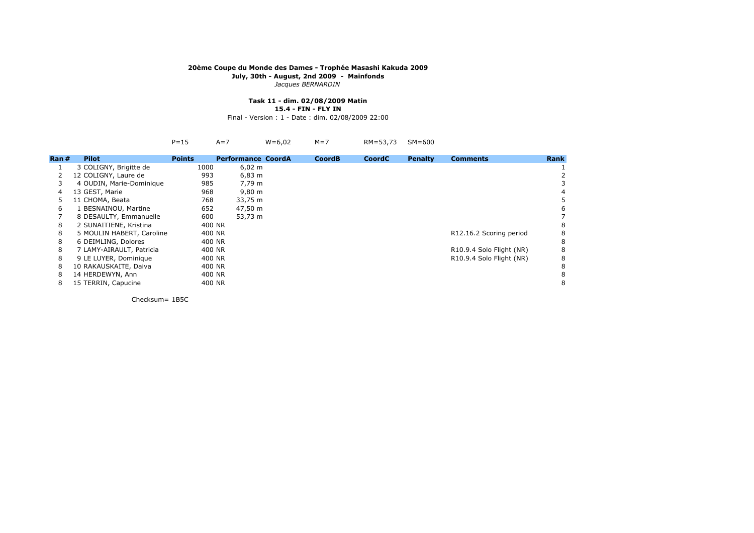*Jacques BERNARDIN*

#### **Task 11 - dim. 02/08/2009 Matin15.4 - FIN - FLY IN**

Final - Version : 1 - Date : dim. 02/08/2009 22:00

|                    |                           | $P = 15$      | $A=7$                     | $W = 6,02$ | $M=7$         | RM=53,73      | $SM=600$       |                          |             |
|--------------------|---------------------------|---------------|---------------------------|------------|---------------|---------------|----------------|--------------------------|-------------|
| $\mathsf{Ran}\,\#$ | <b>Pilot</b>              | <b>Points</b> | <b>Performance CoordA</b> |            | <b>CoordB</b> | <b>CoordC</b> | <b>Penalty</b> | <b>Comments</b>          | <b>Rank</b> |
|                    | 3 COLIGNY, Brigitte de    | 1000          | $6,02 \; m$               |            |               |               |                |                          |             |
|                    | 12 COLIGNY, Laure de      | 993           | $6,83 \; m$               |            |               |               |                |                          |             |
| 3                  | 4 OUDIN, Marie-Dominique  | 985           | 7,79 m                    |            |               |               |                |                          |             |
| 4                  | 13 GEST, Marie            | 968           | 9,80 m                    |            |               |               |                |                          |             |
| 5                  | 11 CHOMA, Beata           | 768           | 33,75 m                   |            |               |               |                |                          |             |
| 6                  | 1 BESNAINOU, Martine      | 652           | 47,50 m                   |            |               |               |                |                          |             |
|                    | 8 DESAULTY, Emmanuelle    | 600           | 53,73 m                   |            |               |               |                |                          |             |
| 8                  | 2 SUNAITIENE, Kristina    | 400 NR        |                           |            |               |               |                |                          |             |
| 8                  | 5 MOULIN HABERT, Caroline | 400 NR        |                           |            |               |               |                | R12.16.2 Scoring period  |             |
| 8                  | 6 DEIMLING, Dolores       | 400 NR        |                           |            |               |               |                |                          | 8           |
| 8                  | 7 LAMY-AIRAULT, Patricia  | 400 NR        |                           |            |               |               |                | R10.9.4 Solo Flight (NR) |             |
| 8                  | 9 LE LUYER, Dominique     | 400 NR        |                           |            |               |               |                | R10.9.4 Solo Flight (NR) |             |
| 8                  | 10 RAKAUSKAITE, Daiva     | 400 NR        |                           |            |               |               |                |                          |             |
| 8                  | 14 HERDEWYN, Ann          | 400 NR        |                           |            |               |               |                |                          |             |
| 8                  | 15 TERRIN, Capucine       | 400 NR        |                           |            |               |               |                |                          |             |
|                    |                           |               |                           |            |               |               |                |                          |             |

Checksum= 1B5C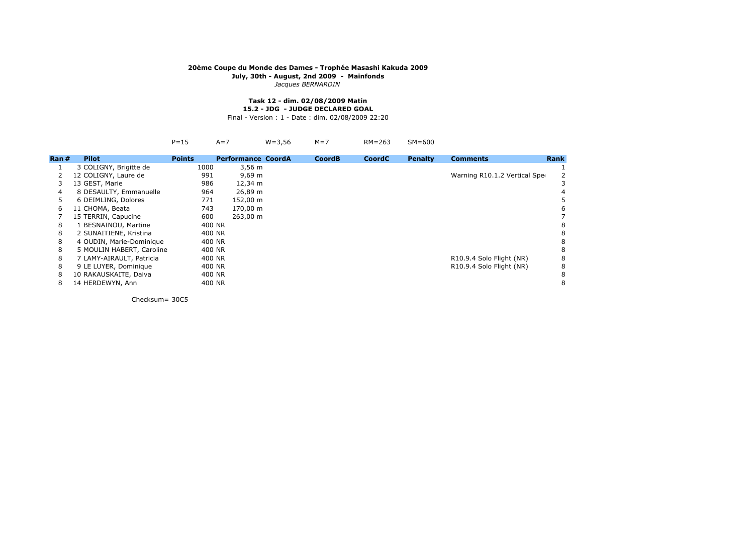*Jacques BERNARDIN*

#### **Task 12 - dim. 02/08/2009 Matin15.2 - JDG - JUDGE DECLARED GOAL**

Final - Version : 1 - Date : dim. 02/08/2009 22:20

|                  |                           | $P = 15$      | $A=7$                     | $W = 3,56$ | $M = 7$       | $RM = 263$    | $SM=600$       |                               |             |
|------------------|---------------------------|---------------|---------------------------|------------|---------------|---------------|----------------|-------------------------------|-------------|
| $\mathsf{Ran}$ # | <b>Pilot</b>              | <b>Points</b> | <b>Performance CoordA</b> |            | <b>CoordB</b> | <b>CoordC</b> | <b>Penalty</b> | <b>Comments</b>               | <b>Rank</b> |
|                  | 3 COLIGNY, Brigitte de    | 1000          | $3,56 \, m$               |            |               |               |                |                               |             |
|                  | 12 COLIGNY, Laure de      | 991           | $9,69 \; m$               |            |               |               |                | Warning R10.1.2 Vertical Sper |             |
|                  | 13 GEST, Marie            | 986           | 12,34 m                   |            |               |               |                |                               |             |
| 4                | 8 DESAULTY, Emmanuelle    | 964           | 26,89 m                   |            |               |               |                |                               |             |
| 5.               | 6 DEIMLING, Dolores       | 771           | 152,00 m                  |            |               |               |                |                               |             |
| 6                | 11 CHOMA, Beata           | 743           | 170,00 m                  |            |               |               |                |                               |             |
|                  | 15 TERRIN, Capucine       | 600           | 263,00 m                  |            |               |               |                |                               |             |
| 8                | 1 BESNAINOU, Martine      | 400 NR        |                           |            |               |               |                |                               |             |
| 8                | 2 SUNAITIENE, Kristina    | 400 NR        |                           |            |               |               |                |                               |             |
| 8                | 4 OUDIN, Marie-Dominique  | 400 NR        |                           |            |               |               |                |                               |             |
| 8                | 5 MOULIN HABERT, Caroline | 400 NR        |                           |            |               |               |                |                               |             |
| 8                | 7 LAMY-AIRAULT, Patricia  | 400 NR        |                           |            |               |               |                | R10.9.4 Solo Flight (NR)      |             |
| 8                | 9 LE LUYER, Dominique     | 400 NR        |                           |            |               |               |                | R10.9.4 Solo Flight (NR)      |             |
| 8                | 10 RAKAUSKAITE, Daiva     | 400 NR        |                           |            |               |               |                |                               |             |
| 8                | 14 HERDEWYN, Ann          | 400 NR        |                           |            |               |               |                |                               |             |

Checksum= 30C5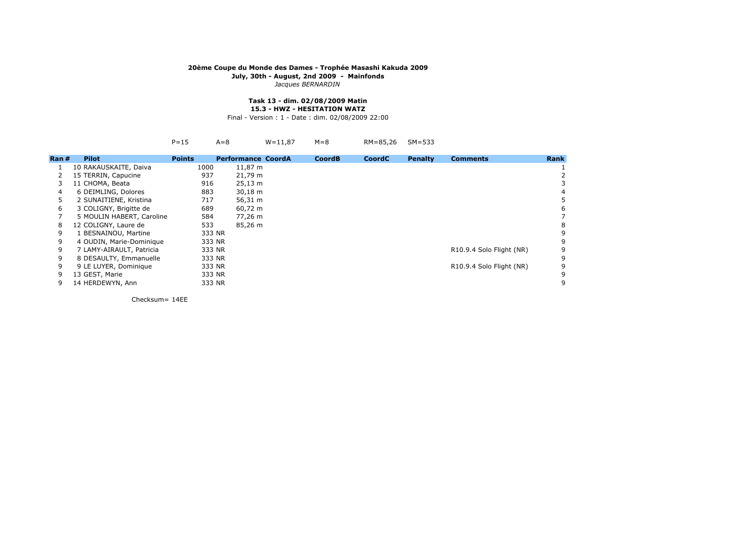*Jacques BERNARDIN*

#### **Task 13 - dim. 02/08/2009 Matin15.3 - HWZ - HESITATION WATZ**

Final - Version : 1 - Date : dim. 02/08/2009 22:00

|        |                           | $P = 15$      | $A=8$                     | $W = 11.87$ | $M = 8$       | RM=85,26      | $SM=533$       |                          |             |
|--------|---------------------------|---------------|---------------------------|-------------|---------------|---------------|----------------|--------------------------|-------------|
| Ran #l | <b>Pilot</b>              | <b>Points</b> | <b>Performance CoordA</b> |             | <b>CoordB</b> | <b>CoordC</b> | <b>Penalty</b> | <b>Comments</b>          | <b>Rank</b> |
|        | 10 RAKAUSKAITE, Daiva     | 1000          | 11,87 m                   |             |               |               |                |                          |             |
|        | 15 TERRIN, Capucine       | 937           | 21,79 m                   |             |               |               |                |                          |             |
| 3      | 11 CHOMA, Beata           | 916           | $25,13 \; m$              |             |               |               |                |                          |             |
| 4      | 6 DEIMLING, Dolores       | 883           | $30,18 \; m$              |             |               |               |                |                          |             |
| 5      | 2 SUNAITIENE, Kristina    | 717           | 56,31 m                   |             |               |               |                |                          |             |
| 6      | 3 COLIGNY, Brigitte de    | 689           | 60,72 m                   |             |               |               |                |                          |             |
|        | 5 MOULIN HABERT, Caroline | 584           | 77,26 m                   |             |               |               |                |                          |             |
| 8      | 12 COLIGNY, Laure de      | 533           | 85,26 m                   |             |               |               |                |                          |             |
| 9      | 1 BESNAINOU, Martine      |               | 333 NR                    |             |               |               |                |                          |             |
| 9      | 4 OUDIN, Marie-Dominique  |               | 333 NR                    |             |               |               |                |                          |             |
| 9      | 7 LAMY-AIRAULT, Patricia  |               | 333 NR                    |             |               |               |                | R10.9.4 Solo Flight (NR) |             |
| 9      | 8 DESAULTY, Emmanuelle    | 333 NR        |                           |             |               |               |                |                          |             |
| 9      | 9 LE LUYER, Dominique     | 333 NR        |                           |             |               |               |                | R10.9.4 Solo Flight (NR) |             |
| 9      | 13 GEST, Marie            | 333 NR        |                           |             |               |               |                |                          |             |
| 9      | 14 HERDEWYN, Ann          | 333 NR        |                           |             |               |               |                |                          |             |
|        |                           |               |                           |             |               |               |                |                          |             |

Checksum= 14EE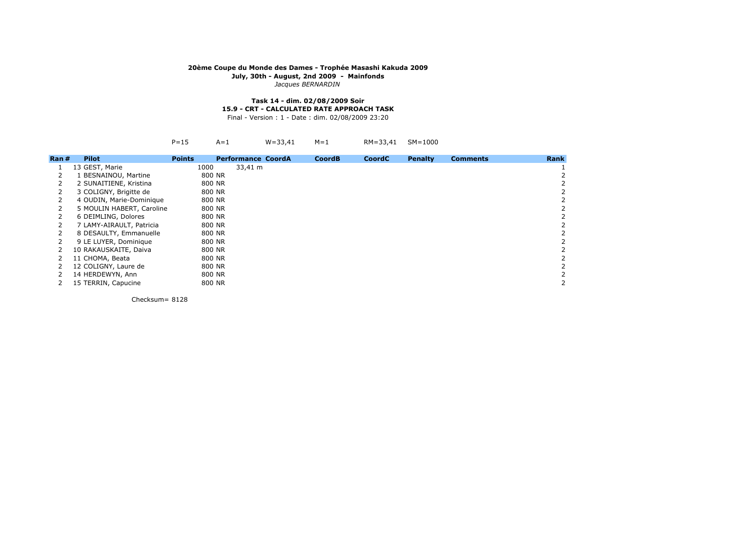*Jacques BERNARDIN*

# **Task 14 - dim. 02/08/2009 Soir15.9 - CRT - CALCULATED RATE APPROACH TASK**

Final - Version : 1 - Date : dim. 02/08/2009 23:20

|--|--|--|--|--|--|--|--|

| $\mathsf{Ran}$ # | <b>Pilot</b>              | <b>Points</b> | <b>Performance CoordA</b> | <b>CoordB</b> | <b>CoordC</b> | <b>Penalty</b> | <b>Comments</b> | <b>Rank</b> |
|------------------|---------------------------|---------------|---------------------------|---------------|---------------|----------------|-----------------|-------------|
|                  | 13 GEST, Marie            | 1000          | 33,41 m                   |               |               |                |                 |             |
|                  | 1 BESNAINOU, Martine      | 800 NR        |                           |               |               |                |                 |             |
|                  | 2 SUNAITIENE, Kristina    | 800 NR        |                           |               |               |                |                 |             |
|                  | 3 COLIGNY, Brigitte de    | 800 NR        |                           |               |               |                |                 |             |
|                  | 4 OUDIN, Marie-Dominique  | 800 NR        |                           |               |               |                |                 |             |
|                  | 5 MOULIN HABERT, Caroline | 800 NR        |                           |               |               |                |                 |             |
|                  | 6 DEIMLING, Dolores       | 800 NR        |                           |               |               |                |                 |             |
|                  | 7 LAMY-AIRAULT, Patricia  | 800 NR        |                           |               |               |                |                 |             |
|                  | 8 DESAULTY, Emmanuelle    | 800 NR        |                           |               |               |                |                 |             |
|                  | 9 LE LUYER, Dominique     | 800 NR        |                           |               |               |                |                 |             |
|                  | 10 RAKAUSKAITE, Daiva     | 800 NR        |                           |               |               |                |                 |             |
|                  | 11 CHOMA, Beata           | 800 NR        |                           |               |               |                |                 |             |
|                  | 12 COLIGNY, Laure de      | 800 NR        |                           |               |               |                |                 |             |
|                  | 14 HERDEWYN, Ann          | 800 NR        |                           |               |               |                |                 |             |
|                  | 15 TERRIN, Capucine       | 800 NR        |                           |               |               |                |                 |             |